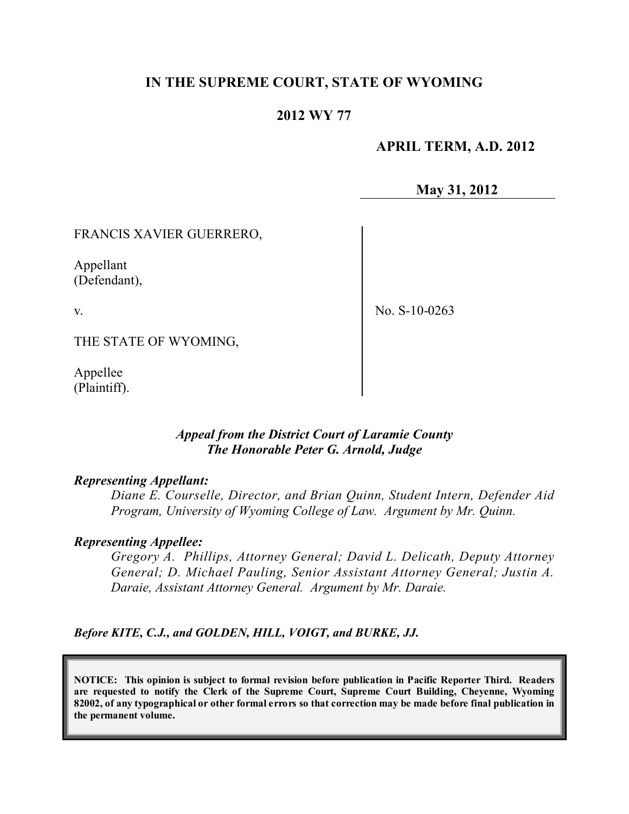# **IN THE SUPREME COURT, STATE OF WYOMING**

# **2012 WY 77**

## **APRIL TERM, A.D. 2012**

**May 31, 2012**

FRANCIS XAVIER GUERRERO,

Appellant (Defendant),

v.

No. S-10-0263

THE STATE OF WYOMING,

Appellee (Plaintiff).

## *Appeal from the District Court of Laramie County The Honorable Peter G. Arnold, Judge*

#### *Representing Appellant:*

*Diane E. Courselle, Director, and Brian Quinn, Student Intern, Defender Aid Program, University of Wyoming College of Law. Argument by Mr. Quinn.*

#### *Representing Appellee:*

*Gregory A. Phillips, Attorney General; David L. Delicath, Deputy Attorney General; D. Michael Pauling, Senior Assistant Attorney General; Justin A. Daraie, Assistant Attorney General. Argument by Mr. Daraie.*

*Before KITE, C.J., and GOLDEN, HILL, VOIGT, and BURKE, JJ.*

**NOTICE: This opinion is subject to formal revision before publication in Pacific Reporter Third. Readers are requested to notify the Clerk of the Supreme Court, Supreme Court Building, Cheyenne, Wyoming** 82002, of any typographical or other formal errors so that correction may be made before final publication in **the permanent volume.**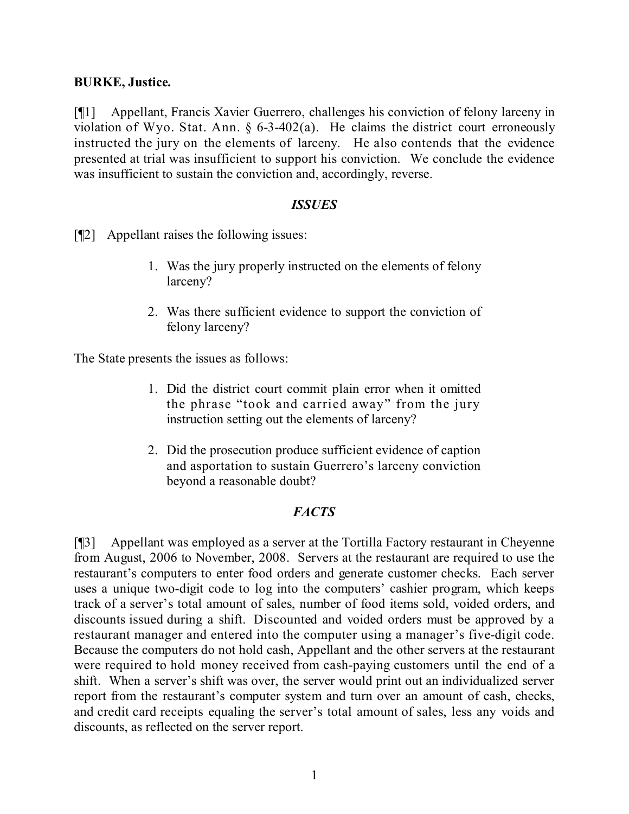## **BURKE, Justice.**

[¶1] Appellant, Francis Xavier Guerrero, challenges his conviction of felony larceny in violation of Wyo. Stat. Ann. § 6-3-402(a). He claims the district court erroneously instructed the jury on the elements of larceny. He also contends that the evidence presented at trial was insufficient to support his conviction. We conclude the evidence was insufficient to sustain the conviction and, accordingly, reverse.

## *ISSUES*

[¶2] Appellant raises the following issues:

- 1. Was the jury properly instructed on the elements of felony larceny?
- 2. Was there sufficient evidence to support the conviction of felony larceny?

The State presents the issues as follows:

- 1. Did the district court commit plain error when it omitted the phrase "took and carried away" from the jury instruction setting out the elements of larceny?
- 2. Did the prosecution produce sufficient evidence of caption and asportation to sustain Guerrero's larceny conviction beyond a reasonable doubt?

# *FACTS*

[¶3] Appellant was employed as a server at the Tortilla Factory restaurant in Cheyenne from August, 2006 to November, 2008. Servers at the restaurant are required to use the restaurant's computers to enter food orders and generate customer checks. Each server uses a unique two-digit code to log into the computers' cashier program, which keeps track of a server's total amount of sales, number of food items sold, voided orders, and discounts issued during a shift. Discounted and voided orders must be approved by a restaurant manager and entered into the computer using a manager's five-digit code. Because the computers do not hold cash, Appellant and the other servers at the restaurant were required to hold money received from cash-paying customers until the end of a shift. When a server's shift was over, the server would print out an individualized server report from the restaurant's computer system and turn over an amount of cash, checks, and credit card receipts equaling the server's total amount of sales, less any voids and discounts, as reflected on the server report.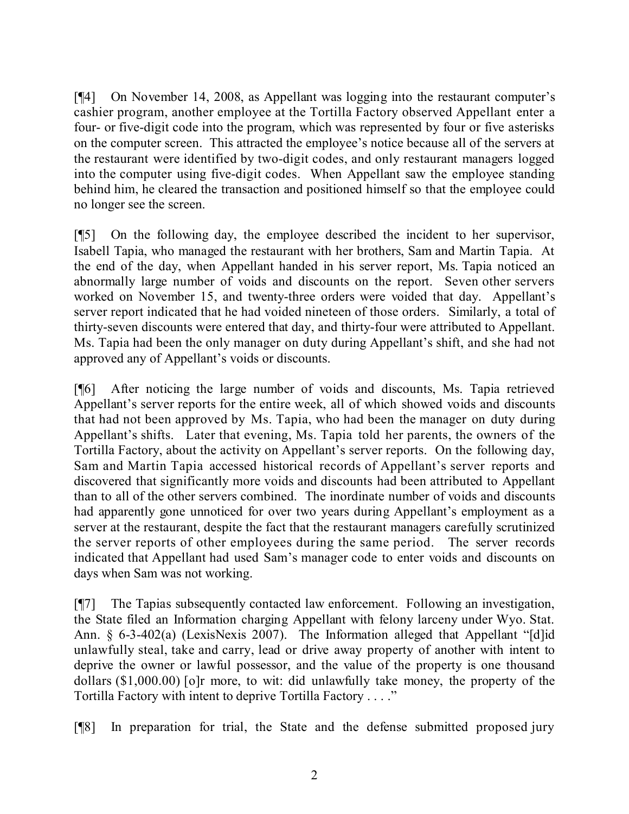[¶4] On November 14, 2008, as Appellant was logging into the restaurant computer's cashier program, another employee at the Tortilla Factory observed Appellant enter a four- or five-digit code into the program, which was represented by four or five asterisks on the computer screen. This attracted the employee's notice because all of the servers at the restaurant were identified by two-digit codes, and only restaurant managers logged into the computer using five-digit codes. When Appellant saw the employee standing behind him, he cleared the transaction and positioned himself so that the employee could no longer see the screen.

[¶5] On the following day, the employee described the incident to her supervisor, Isabell Tapia, who managed the restaurant with her brothers, Sam and Martin Tapia. At the end of the day, when Appellant handed in his server report, Ms. Tapia noticed an abnormally large number of voids and discounts on the report. Seven other servers worked on November 15, and twenty-three orders were voided that day. Appellant's server report indicated that he had voided nineteen of those orders. Similarly, a total of thirty-seven discounts were entered that day, and thirty-four were attributed to Appellant. Ms. Tapia had been the only manager on duty during Appellant's shift, and she had not approved any of Appellant's voids or discounts.

[¶6] After noticing the large number of voids and discounts, Ms. Tapia retrieved Appellant's server reports for the entire week, all of which showed voids and discounts that had not been approved by Ms. Tapia, who had been the manager on duty during Appellant's shifts. Later that evening, Ms. Tapia told her parents, the owners of the Tortilla Factory, about the activity on Appellant's server reports. On the following day, Sam and Martin Tapia accessed historical records of Appellant's server reports and discovered that significantly more voids and discounts had been attributed to Appellant than to all of the other servers combined. The inordinate number of voids and discounts had apparently gone unnoticed for over two years during Appellant's employment as a server at the restaurant, despite the fact that the restaurant managers carefully scrutinized the server reports of other employees during the same period. The server records indicated that Appellant had used Sam's manager code to enter voids and discounts on days when Sam was not working.

[¶7] The Tapias subsequently contacted law enforcement. Following an investigation, the State filed an Information charging Appellant with felony larceny under Wyo. Stat. Ann. § 6-3-402(a) (LexisNexis 2007). The Information alleged that Appellant "[d]id unlawfully steal, take and carry, lead or drive away property of another with intent to deprive the owner or lawful possessor, and the value of the property is one thousand dollars (\$1,000.00) [o]r more, to wit: did unlawfully take money, the property of the Tortilla Factory with intent to deprive Tortilla Factory . . . ."

[¶8] In preparation for trial, the State and the defense submitted proposed jury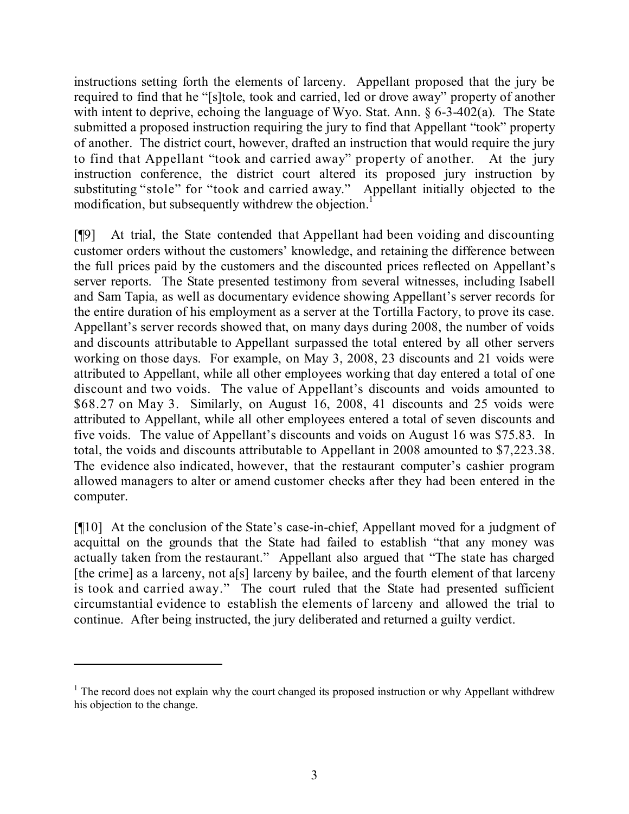instructions setting forth the elements of larceny. Appellant proposed that the jury be required to find that he "[s]tole, took and carried, led or drove away" property of another with intent to deprive, echoing the language of Wyo. Stat. Ann. § 6-3-402(a). The State submitted a proposed instruction requiring the jury to find that Appellant "took" property of another. The district court, however, drafted an instruction that would require the jury to find that Appellant "took and carried away" property of another. At the jury instruction conference, the district court altered its proposed jury instruction by substituting "stole" for "took and carried away." Appellant initially objected to the modification, but subsequently withdrew the objection.<sup>1</sup>

[¶9] At trial, the State contended that Appellant had been voiding and discounting customer orders without the customers' knowledge, and retaining the difference between the full prices paid by the customers and the discounted prices reflected on Appellant's server reports. The State presented testimony from several witnesses, including Isabell and Sam Tapia, as well as documentary evidence showing Appellant's server records for the entire duration of his employment as a server at the Tortilla Factory, to prove its case. Appellant's server records showed that, on many days during 2008, the number of voids and discounts attributable to Appellant surpassed the total entered by all other servers working on those days. For example, on May 3, 2008, 23 discounts and 21 voids were attributed to Appellant, while all other employees working that day entered a total of one discount and two voids. The value of Appellant's discounts and voids amounted to \$68.27 on May 3. Similarly, on August 16, 2008, 41 discounts and 25 voids were attributed to Appellant, while all other employees entered a total of seven discounts and five voids. The value of Appellant's discounts and voids on August 16 was \$75.83. In total, the voids and discounts attributable to Appellant in 2008 amounted to \$7,223.38. The evidence also indicated, however, that the restaurant computer's cashier program allowed managers to alter or amend customer checks after they had been entered in the computer.

[¶10] At the conclusion of the State's case-in-chief, Appellant moved for a judgment of acquittal on the grounds that the State had failed to establish "that any money was actually taken from the restaurant." Appellant also argued that "The state has charged [the crime] as a larceny, not a[s] larceny by bailee, and the fourth element of that larceny is took and carried away." The court ruled that the State had presented sufficient circumstantial evidence to establish the elements of larceny and allowed the trial to continue. After being instructed, the jury deliberated and returned a guilty verdict.

 $1$ . The record does not explain why the court changed its proposed instruction or why Appellant withdrew his objection to the change.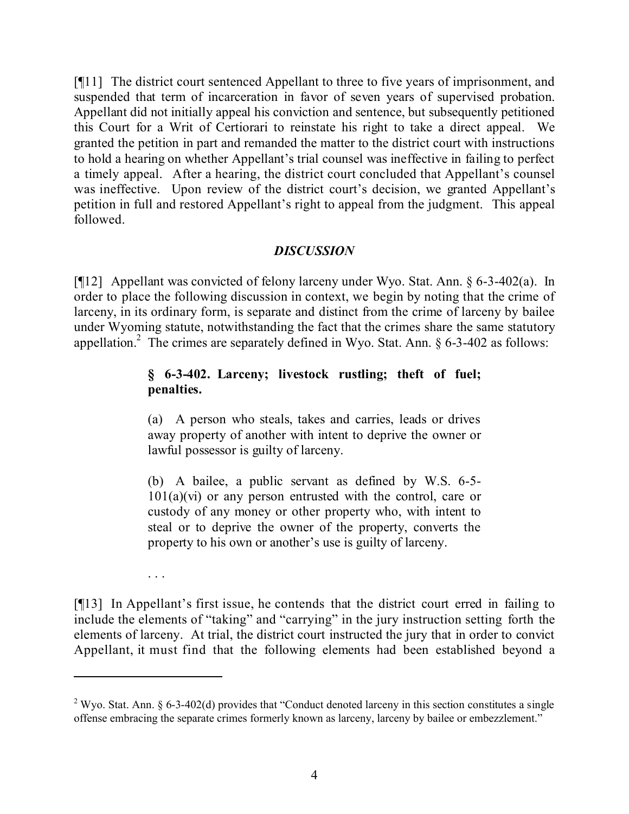[¶11] The district court sentenced Appellant to three to five years of imprisonment, and suspended that term of incarceration in favor of seven years of supervised probation. Appellant did not initially appeal his conviction and sentence, but subsequently petitioned this Court for a Writ of Certiorari to reinstate his right to take a direct appeal. We granted the petition in part and remanded the matter to the district court with instructions to hold a hearing on whether Appellant's trial counsel was ineffective in failing to perfect a timely appeal. After a hearing, the district court concluded that Appellant's counsel was ineffective. Upon review of the district court's decision, we granted Appellant's petition in full and restored Appellant's right to appeal from the judgment. This appeal followed.

# *DISCUSSION*

[¶12] Appellant was convicted of felony larceny under Wyo. Stat. Ann. § 6-3-402(a). In order to place the following discussion in context, we begin by noting that the crime of larceny, in its ordinary form, is separate and distinct from the crime of larceny by bailee under Wyoming statute, notwithstanding the fact that the crimes share the same statutory appellation.<sup>2</sup> The crimes are separately defined in Wyo. Stat. Ann.  $\S$  6-3-402 as follows:

# **§ 6-3-402. Larceny; livestock rustling; theft of fuel; penalties.**

(a) A person who steals, takes and carries, leads or drives away property of another with intent to deprive the owner or lawful possessor is guilty of larceny.

(b) A bailee, a public servant as defined by W.S. 6-5-  $101(a)(vi)$  or any person entrusted with the control, care or custody of any money or other property who, with intent to steal or to deprive the owner of the property, converts the property to his own or another's use is guilty of larceny.

[¶13] In Appellant's first issue, he contends that the district court erred in failing to include the elements of "taking" and "carrying" in the jury instruction setting forth the elements of larceny. At trial, the district court instructed the jury that in order to convict Appellant, it must find that the following elements had been established beyond a

. . .

<sup>&</sup>lt;sup>2</sup> Wyo. Stat. Ann. § 6-3-402(d) provides that "Conduct denoted larceny in this section constitutes a single offense embracing the separate crimes formerly known as larceny, larceny by bailee or embezzlement."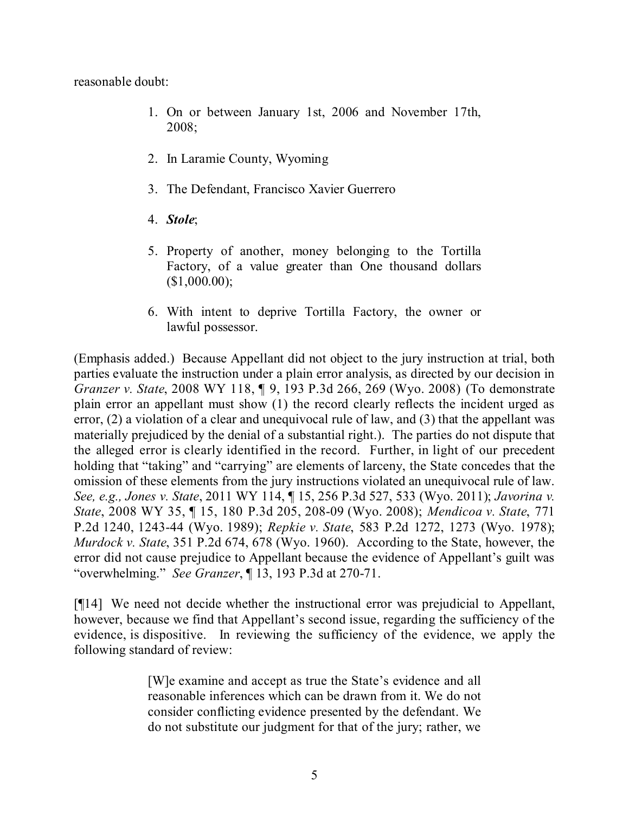reasonable doubt:

- 1. On or between January 1st, 2006 and November 17th, 2008;
- 2. In Laramie County, Wyoming
- 3. The Defendant, Francisco Xavier Guerrero
- 4. *Stole*;
- 5. Property of another, money belonging to the Tortilla Factory, of a value greater than One thousand dollars  $($1,000.00);$
- 6. With intent to deprive Tortilla Factory, the owner or lawful possessor.

(Emphasis added.) Because Appellant did not object to the jury instruction at trial, both parties evaluate the instruction under a plain error analysis, as directed by our decision in *Granzer v. State*, 2008 WY 118, ¶ 9, 193 P.3d 266, 269 (Wyo. 2008) (To demonstrate plain error an appellant must show (1) the record clearly reflects the incident urged as error, (2) a violation of a clear and unequivocal rule of law, and (3) that the appellant was materially prejudiced by the denial of a substantial right.). The parties do not dispute that the alleged error is clearly identified in the record. Further, in light of our precedent holding that "taking" and "carrying" are elements of larceny, the State concedes that the omission of these elements from the jury instructions violated an unequivocal rule of law. *See, e.g., Jones v. State*, 2011 WY 114, ¶ 15, 256 P.3d 527, 533 (Wyo. 2011); *Javorina v. State*, 2008 WY 35, ¶ 15, 180 P.3d 205, 208-09 (Wyo. 2008); *Mendicoa v. State*, 771 P.2d 1240, 1243-44 (Wyo. 1989); *Repkie v. State*, 583 P.2d 1272, 1273 (Wyo. 1978); *Murdock v. State*, 351 P.2d 674, 678 (Wyo. 1960). According to the State, however, the error did not cause prejudice to Appellant because the evidence of Appellant's guilt was "overwhelming." *See Granzer*, ¶ 13, 193 P.3d at 270-71.

[¶14] We need not decide whether the instructional error was prejudicial to Appellant, however, because we find that Appellant's second issue, regarding the sufficiency of the evidence, is dispositive. In reviewing the sufficiency of the evidence, we apply the following standard of review:

> [W]e examine and accept as true the State's evidence and all reasonable inferences which can be drawn from it. We do not consider conflicting evidence presented by the defendant. We do not substitute our judgment for that of the jury; rather, we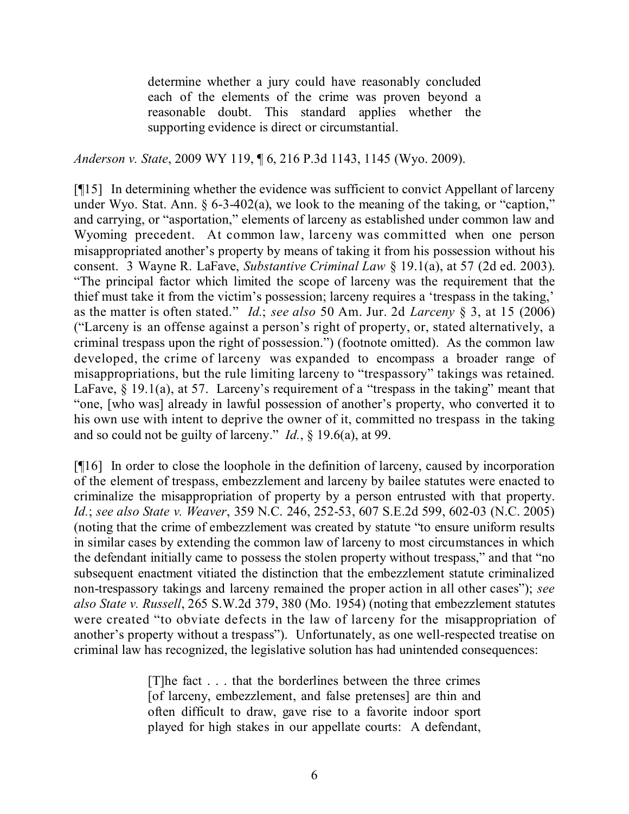determine whether a jury could have reasonably concluded each of the elements of the crime was proven beyond a reasonable doubt. This standard applies whether the supporting evidence is direct or circumstantial.

*Anderson v. State*, 2009 WY 119, ¶ 6, 216 P.3d 1143, 1145 (Wyo. 2009).

[¶15] In determining whether the evidence was sufficient to convict Appellant of larceny under Wyo. Stat. Ann. § 6-3-402(a), we look to the meaning of the taking, or "caption," and carrying, or "asportation," elements of larceny as established under common law and Wyoming precedent. At common law, larceny was committed when one person misappropriated another's property by means of taking it from his possession without his consent. 3 Wayne R. LaFave, *Substantive Criminal Law* § 19.1(a), at 57 (2d ed. 2003). "The principal factor which limited the scope of larceny was the requirement that the thief must take it from the victim's possession; larceny requires a 'trespass in the taking,' as the matter is often stated." *Id.*; *see also* 50 Am. Jur. 2d *Larceny* § 3, at 15 (2006) ("Larceny is an offense against a person's right of property, or, stated alternatively, a criminal trespass upon the right of possession.") (footnote omitted). As the common law developed, the crime of larceny was expanded to encompass a broader range of misappropriations, but the rule limiting larceny to "trespassory" takings was retained. LaFave,  $\S$  19.1(a), at 57. Larceny's requirement of a "trespass in the taking" meant that "one, [who was] already in lawful possession of another's property, who converted it to his own use with intent to deprive the owner of it, committed no trespass in the taking and so could not be guilty of larceny." *Id.*, § 19.6(a), at 99.

[¶16] In order to close the loophole in the definition of larceny, caused by incorporation of the element of trespass, embezzlement and larceny by bailee statutes were enacted to criminalize the misappropriation of property by a person entrusted with that property. *Id.*; *see also State v. Weaver*, 359 N.C. 246, 252-53, 607 S.E.2d 599, 602-03 (N.C. 2005) (noting that the crime of embezzlement was created by statute "to ensure uniform results in similar cases by extending the common law of larceny to most circumstances in which the defendant initially came to possess the stolen property without trespass," and that "no subsequent enactment vitiated the distinction that the embezzlement statute criminalized non-trespassory takings and larceny remained the proper action in all other cases"); *see also State v. Russell*, 265 S.W.2d 379, 380 (Mo. 1954) (noting that embezzlement statutes were created "to obviate defects in the law of larceny for the misappropriation of another's property without a trespass"). Unfortunately, as one well-respected treatise on criminal law has recognized, the legislative solution has had unintended consequences:

> [T]he fact . . . that the borderlines between the three crimes [of larceny, embezzlement, and false pretenses] are thin and often difficult to draw, gave rise to a favorite indoor sport played for high stakes in our appellate courts: A defendant,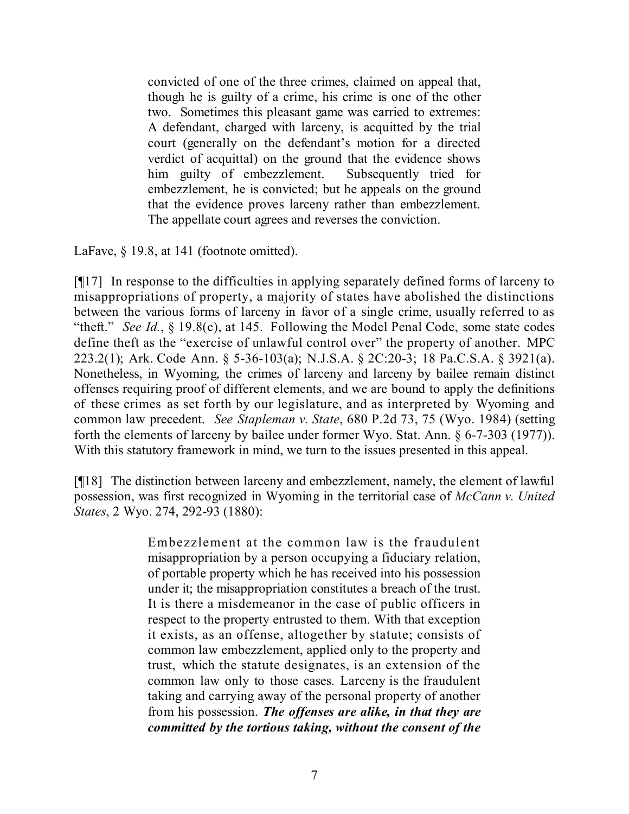convicted of one of the three crimes, claimed on appeal that, though he is guilty of a crime, his crime is one of the other two. Sometimes this pleasant game was carried to extremes: A defendant, charged with larceny, is acquitted by the trial court (generally on the defendant's motion for a directed verdict of acquittal) on the ground that the evidence shows him guilty of embezzlement. Subsequently tried for embezzlement, he is convicted; but he appeals on the ground that the evidence proves larceny rather than embezzlement. The appellate court agrees and reverses the conviction.

LaFave, § 19.8, at 141 (footnote omitted).

[¶17] In response to the difficulties in applying separately defined forms of larceny to misappropriations of property, a majority of states have abolished the distinctions between the various forms of larceny in favor of a single crime, usually referred to as "theft." *See Id.*, § 19.8(c), at 145. Following the Model Penal Code, some state codes define theft as the "exercise of unlawful control over" the property of another. MPC 223.2(1); Ark. Code Ann. § 5-36-103(a); N.J.S.A. § 2C:20-3; 18 Pa.C.S.A. § 3921(a). Nonetheless, in Wyoming, the crimes of larceny and larceny by bailee remain distinct offenses requiring proof of different elements, and we are bound to apply the definitions of these crimes as set forth by our legislature, and as interpreted by Wyoming and common law precedent. *See Stapleman v. State*, 680 P.2d 73, 75 (Wyo. 1984) (setting forth the elements of larceny by bailee under former Wyo. Stat. Ann. § 6-7-303 (1977)). With this statutory framework in mind, we turn to the issues presented in this appeal.

[¶18] The distinction between larceny and embezzlement, namely, the element of lawful possession, was first recognized in Wyoming in the territorial case of *McCann v. United States*, 2 Wyo. 274, 292-93 (1880):

> Embezzlement at the common law is the fraudulent misappropriation by a person occupying a fiduciary relation, of portable property which he has received into his possession under it; the misappropriation constitutes a breach of the trust. It is there a misdemeanor in the case of public officers in respect to the property entrusted to them. With that exception it exists, as an offense, altogether by statute; consists of common law embezzlement, applied only to the property and trust, which the statute designates, is an extension of the common law only to those cases. Larceny is the fraudulent taking and carrying away of the personal property of another from his possession. *The offenses are alike, in that they are committed by the tortious taking, without the consent of the*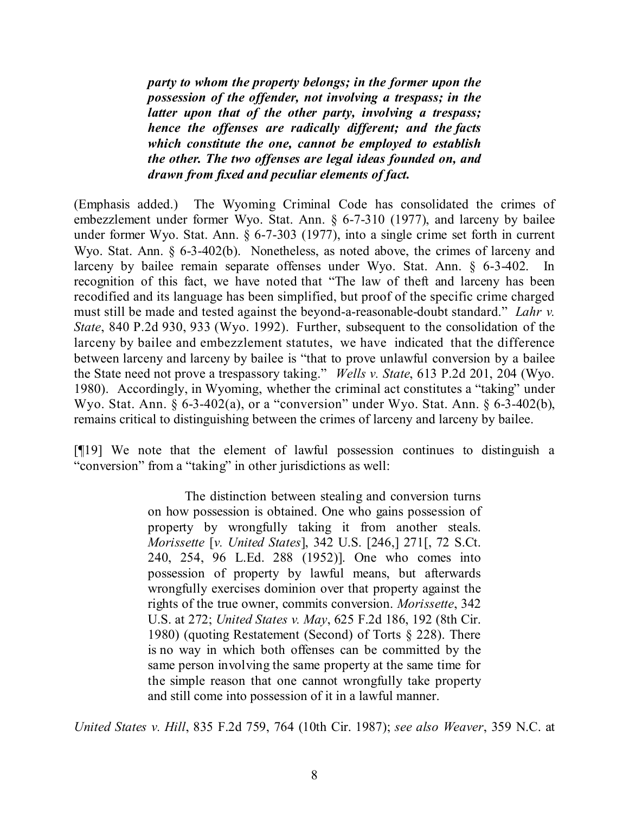*party to whom the property belongs; in the former upon the possession of the offender, not involving a trespass; in the latter upon that of the other party, involving a trespass; hence the offenses are radically different; and the facts which constitute the one, cannot be employed to establish the other. The two offenses are legal ideas founded on, and drawn from fixed and peculiar elements of fact.*

(Emphasis added.) The Wyoming Criminal Code has consolidated the crimes of embezzlement under former Wyo. Stat. Ann. § 6-7-310 (1977), and larceny by bailee under former Wyo. Stat. Ann. § 6-7-303 (1977), into a single crime set forth in current Wyo. Stat. Ann. § 6-3-402(b). Nonetheless, as noted above, the crimes of larceny and larceny by bailee remain separate offenses under Wyo. Stat. Ann. § 6-3-402. In recognition of this fact, we have noted that "The law of theft and larceny has been recodified and its language has been simplified, but proof of the specific crime charged must still be made and tested against the beyond-a-reasonable-doubt standard." *Lahr v. State*, 840 P.2d 930, 933 (Wyo. 1992). Further, subsequent to the consolidation of the larceny by bailee and embezzlement statutes, we have indicated that the difference between larceny and larceny by bailee is "that to prove unlawful conversion by a bailee the State need not prove a trespassory taking." *Wells v. State*, 613 P.2d 201, 204 (Wyo. 1980). Accordingly, in Wyoming, whether the criminal act constitutes a "taking" under Wyo. Stat. Ann. § 6-3-402(a), or a "conversion" under Wyo. Stat. Ann. § 6-3-402(b), remains critical to distinguishing between the crimes of larceny and larceny by bailee.

[¶19] We note that the element of lawful possession continues to distinguish a "conversion" from a "taking" in other jurisdictions as well:

> The distinction between stealing and conversion turns on how possession is obtained. One who gains possession of property by wrongfully taking it from another steals. *Morissette* [*v. United States*], 342 U.S. [246,] 271[, 72 S.Ct. 240, 254, 96 L.Ed. 288 (1952)]. One who comes into possession of property by lawful means, but afterwards wrongfully exercises dominion over that property against the rights of the true owner, commits conversion. *Morissette*, 342 U.S. at 272; *United States v. May*, 625 F.2d 186, 192 (8th Cir. 1980) (quoting Restatement (Second) of Torts § 228). There is no way in which both offenses can be committed by the same person involving the same property at the same time for the simple reason that one cannot wrongfully take property and still come into possession of it in a lawful manner.

*United States v. Hill*, 835 F.2d 759, 764 (10th Cir. 1987); *see also Weaver*, 359 N.C. at